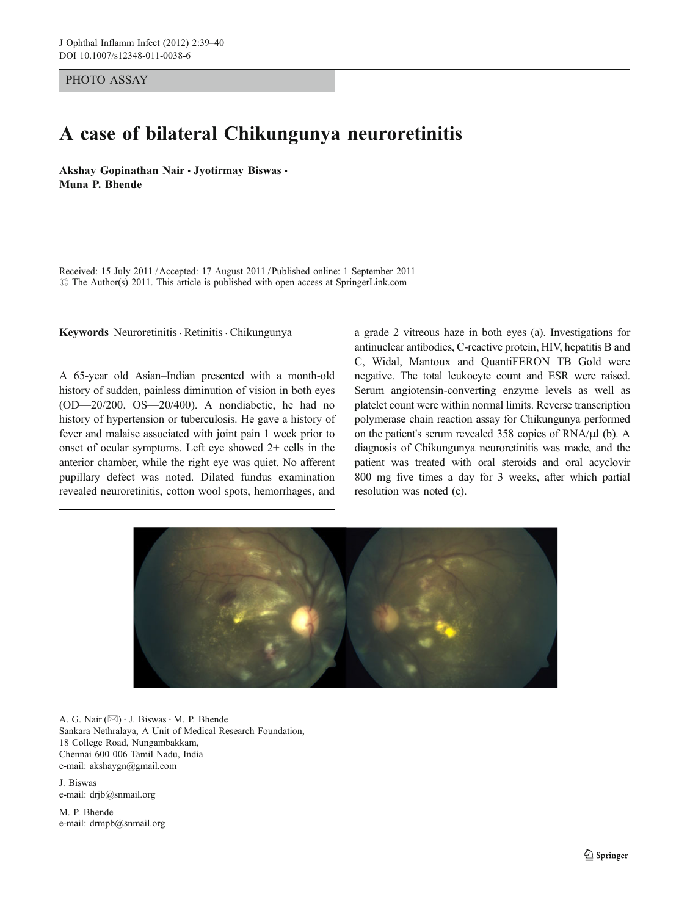PHOTO ASSAY

## A case of bilateral Chikungunya neuroretinitis

Akshay Gopinathan Nair · Jyotirmay Biswas · Muna P. Bhende

Received: 15 July 2011 /Accepted: 17 August 2011 / Published online: 1 September 2011  $\odot$  The Author(s) 2011. This article is published with open access at SpringerLink.com

Keywords Neuroretinitis · Retinitis · Chikungunya

A 65-year old Asian–Indian presented with a month-old history of sudden, painless diminution of vision in both eyes (OD—20/200, OS—20/400). A nondiabetic, he had no history of hypertension or tuberculosis. He gave a history of fever and malaise associated with joint pain 1 week prior to onset of ocular symptoms. Left eye showed 2+ cells in the anterior chamber, while the right eye was quiet. No afferent pupillary defect was noted. Dilated fundus examination revealed neuroretinitis, cotton wool spots, hemorrhages, and

a grade 2 vitreous haze in both eyes (a). Investigations for antinuclear antibodies, C-reactive protein, HIV, hepatitis B and C, Widal, Mantoux and QuantiFERON TB Gold were negative. The total leukocyte count and ESR were raised. Serum angiotensin-converting enzyme levels as well as platelet count were within normal limits. Reverse transcription polymerase chain reaction assay for Chikungunya performed on the patient's serum revealed 358 copies of RNA/μl (b). A diagnosis of Chikungunya neuroretinitis was made, and the patient was treated with oral steroids and oral acyclovir 800 mg five times a day for 3 weeks, after which partial resolution was noted (c).



A. G. Nair  $(\boxtimes) \cdot$  J. Biswas  $\cdot$  M. P. Bhende Sankara Nethralaya, A Unit of Medical Research Foundation, 18 College Road, Nungambakkam, Chennai 600 006 Tamil Nadu, India e-mail: akshaygn@gmail.com

J. Biswas e-mail: drjb@snmail.org

M. P. Bhende e-mail: drmpb@snmail.org